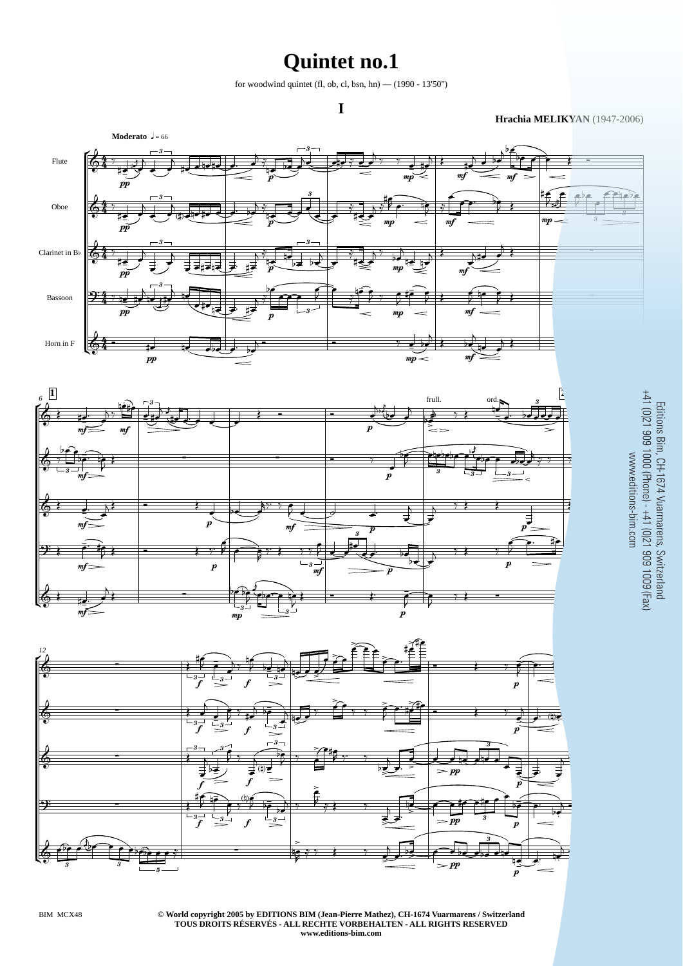## **Quintet no.1**

for woodwind quintet (fl, ob, cl, bsn, hn) —  $(1990 - 13'50'')$ 

**Hrachia MELIKYAN** (1947-2006)

Editions Bim, CH-1674 Vuarmarens, Switzerland



**© World copyright 2005 by EDITIONS BIM (Jean-Pierre Mathez), CH-1674 Vuarmarens / Switzerland TOUS DROITS RÉSERVÉS - ALL RECHTE VORBEHALTEN - ALL RIGHTS RESERVED** BIM MCX48 1 **www.editions-bim.com**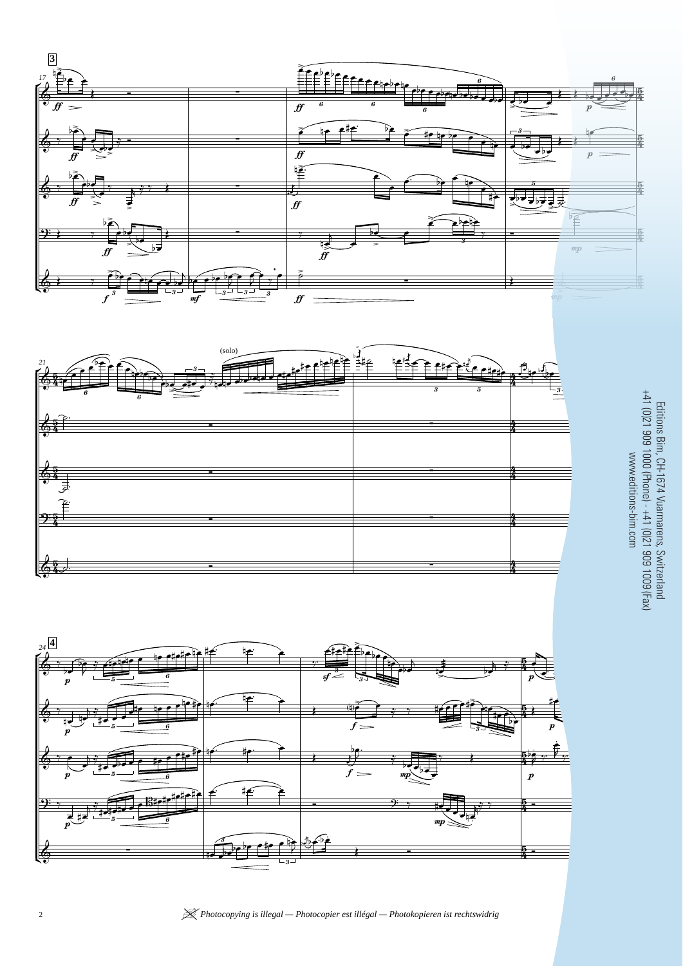





+41 (0)21 909 1000 (Phone) - +41 (0)21 909 1009 (Fax) Editions Bim, CH-1674 Vuarmarens, Switzerland www.editions-bim.com www.editions-bim.com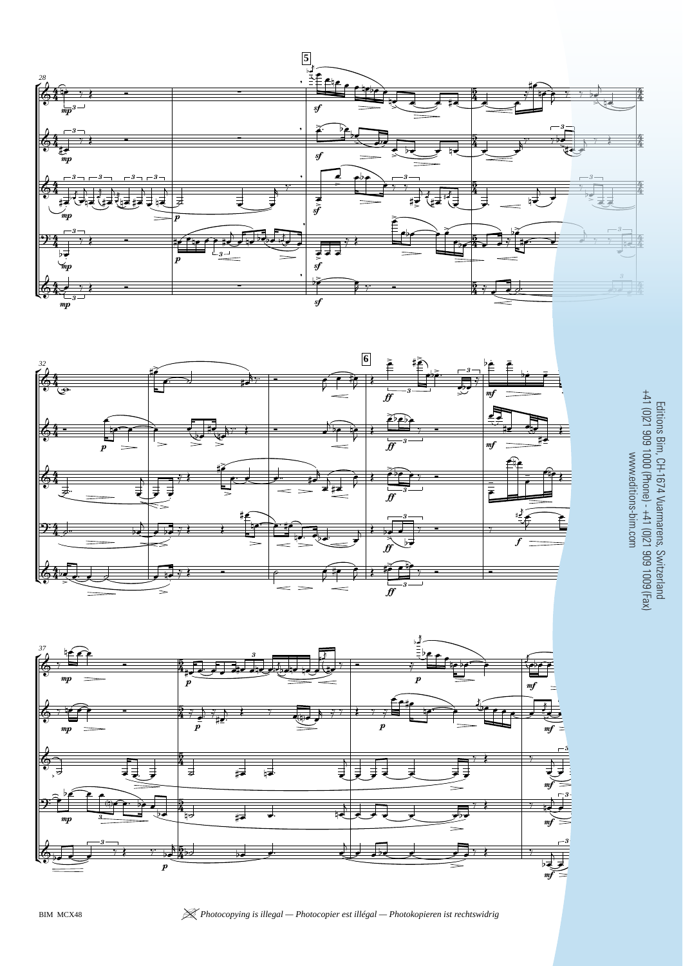





 Editions Bim, CH-1674 Vuarmarens, Switzerland +41 (0)21 909 1000 (Phone) - +41 (0)21 909 1009 (Fax) www.editions-bim.com

BIM MCX48 | *Photocopying is illegal — Photocopier est illégal — Photokopieren ist rechtswidrig* <sup>3</sup>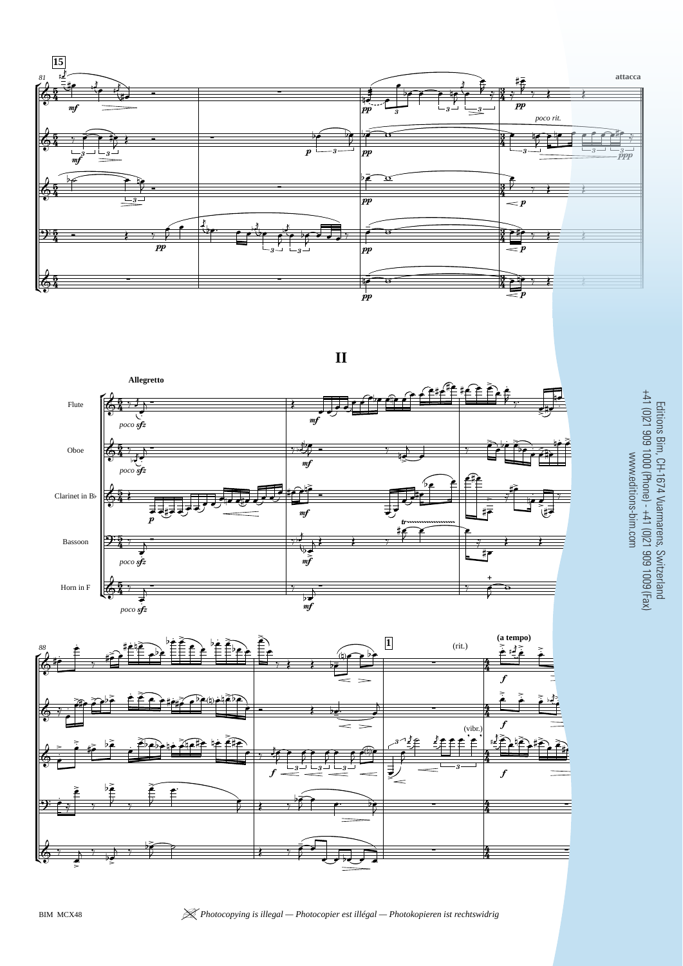





 $\sim$ − ā  $rac{1}{6}$ ນເດ Editions Bim, CH-1674 Vuarmarens, Switzerland +41 (0)21 909 1000 (Phone) - +41 (0)21 909 1009 (Fax) www.editions-bim.com

BIM MCX48 | *Photocopying is illegal — Photocopier est illégal — Photokopieren ist rechtswidrig* <sup>7</sup>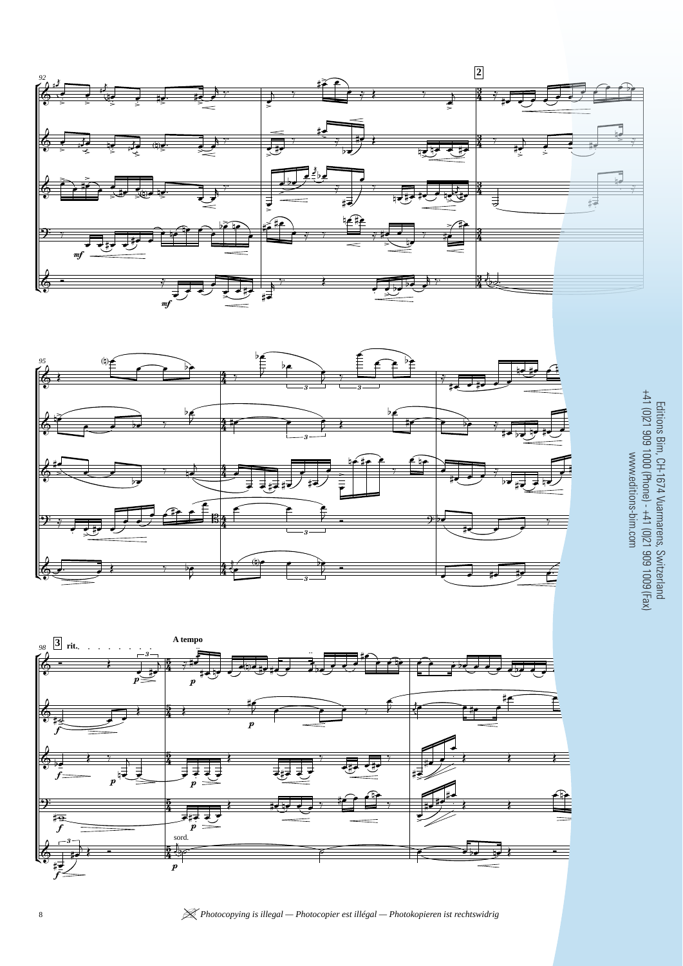





 $\mathbb{R}$ j Editions Bim, CH-1674 Vuarmarens, Switzerland +41 (0)21 909 1000 (Phone) - +41 (0)21 909 1009 (Fax) www.editions-bim.com

8 *M Photocopying is illegal — Photocopier est illégal — Photokopieren ist rechtswidrig* BIM MC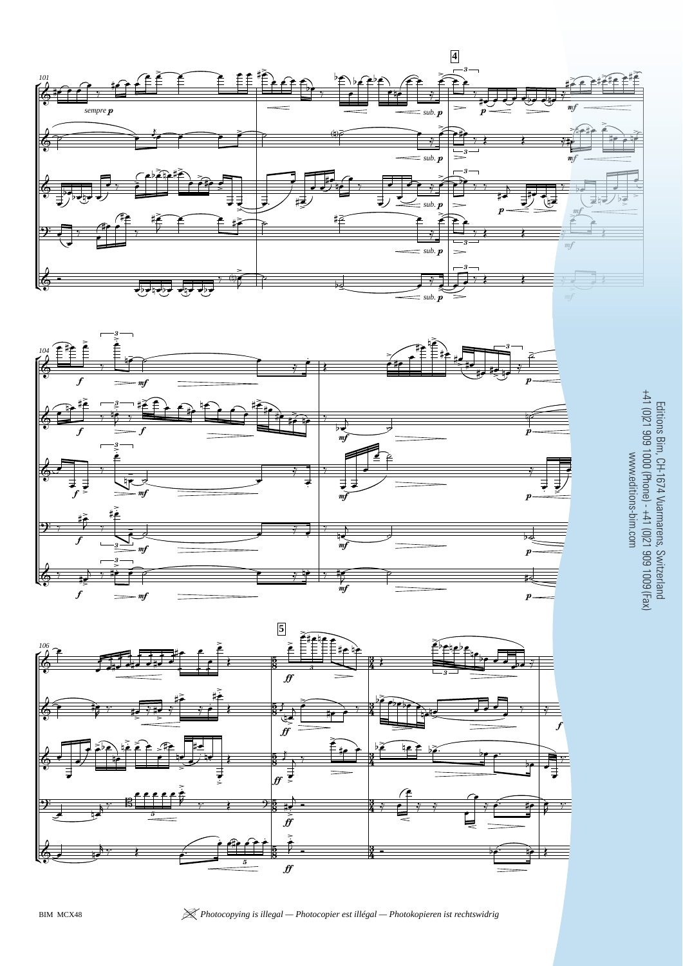





Editions Bim, CH-1674 Vuarmarens, Switzerland<br>+41 (0)21 909 1000 (Phone) - +41 (0)21 909 1009 (Fax) +41 (0)21 909 1000 (Phone) - +41 (0)21 909 1009 (Fax) Editions Bim, CH-1674 Vuarmarens, Switzerland www.editions-bim.com www.editions-bim.com

BIM MCX48 | *Photocopying is illegal — Photocopier est illégal — Photokopieren ist rechtswidrig* <sup>9</sup>